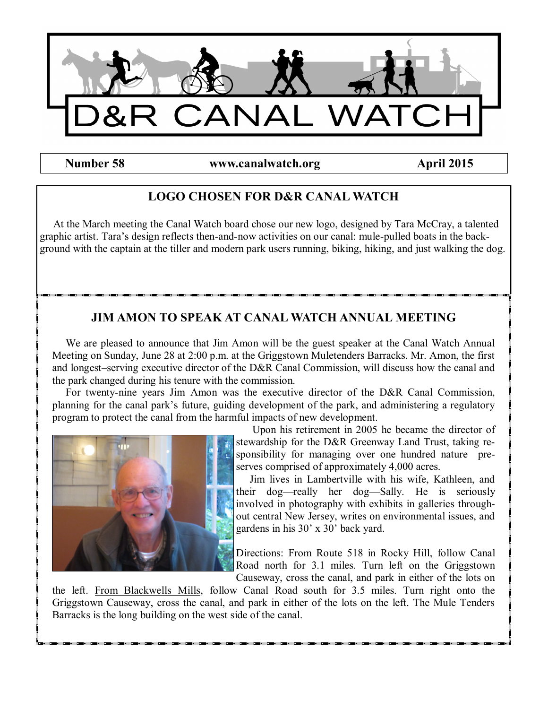

**Number 58 www.canalwatch.org April 2015** 

# **LOGO CHOSEN FOR D&R CANAL WATCH**

 At the March meeting the Canal Watch board chose our new logo, designed by Tara McCray, a talented graphic artist. Tara's design reflects then-and-now activities on our canal: mule-pulled boats in the background with the captain at the tiller and modern park users running, biking, hiking, and just walking the dog.

# **JIM AMON TO SPEAK AT CANAL WATCH ANNUAL MEETING**

 We are pleased to announce that Jim Amon will be the guest speaker at the Canal Watch Annual Meeting on Sunday, June 28 at 2:00 p.m. at the Griggstown Muletenders Barracks. Mr. Amon, the first and longest–serving executive director of the D&R Canal Commission, will discuss how the canal and the park changed during his tenure with the commission.

 For twenty-nine years Jim Amon was the executive director of the D&R Canal Commission, planning for the canal park's future, guiding development of the park, and administering a regulatory program to protect the canal from the harmful impacts of new development.



 Upon his retirement in 2005 he became the director of stewardship for the D&R Greenway Land Trust, taking responsibility for managing over one hundred nature preserves comprised of approximately 4,000 acres.

 Jim lives in Lambertville with his wife, Kathleen, and their dog—really her dog—Sally. He is seriously involved in photography with exhibits in galleries throughout central New Jersey, writes on environmental issues, and gardens in his 30' x 30' back yard.

Directions: From Route 518 in Rocky Hill, follow Canal Road north for 3.1 miles. Turn left on the Griggstown Causeway, cross the canal, and park in either of the lots on

the left. From Blackwells Mills, follow Canal Road south for 3.5 miles. Turn right onto the Griggstown Causeway, cross the canal, and park in either of the lots on the left. The Mule Tenders Barracks is the long building on the west side of the canal.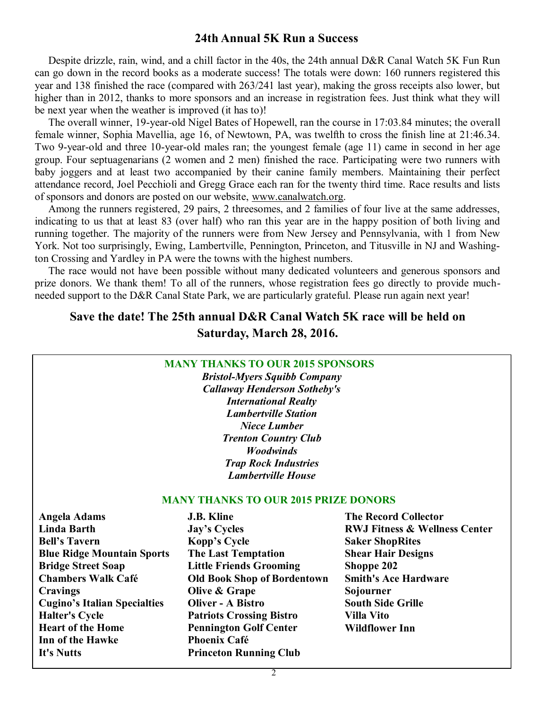### **24th Annual 5K Run a Success**

 Despite drizzle, rain, wind, and a chill factor in the 40s, the 24th annual D&R Canal Watch 5K Fun Run can go down in the record books as a moderate success! The totals were down: 160 runners registered this year and 138 finished the race (compared with 263/241 last year), making the gross receipts also lower, but higher than in 2012, thanks to more sponsors and an increase in registration fees. Just think what they will be next year when the weather is improved (it has to)!

 The overall winner, 19-year-old Nigel Bates of Hopewell, ran the course in 17:03.84 minutes; the overall female winner, Sophia Mavellia, age 16, of Newtown, PA, was twelfth to cross the finish line at 21:46.34. Two 9-year-old and three 10-year-old males ran; the youngest female (age 11) came in second in her age group. Four septuagenarians (2 women and 2 men) finished the race. Participating were two runners with baby joggers and at least two accompanied by their canine family members. Maintaining their perfect attendance record, Joel Pecchioli and Gregg Grace each ran for the twenty third time. Race results and lists of sponsors and donors are posted on our website, www.canalwatch.org.

 Among the runners registered, 29 pairs, 2 threesomes, and 2 families of four live at the same addresses, indicating to us that at least 83 (over half) who ran this year are in the happy position of both living and running together. The majority of the runners were from New Jersey and Pennsylvania, with 1 from New York. Not too surprisingly, Ewing, Lambertville, Pennington, Princeton, and Titusville in NJ and Washington Crossing and Yardley in PA were the towns with the highest numbers.

 The race would not have been possible without many dedicated volunteers and generous sponsors and prize donors. We thank them! To all of the runners, whose registration fees go directly to provide muchneeded support to the D&R Canal State Park, we are particularly grateful. Please run again next year!

### **Save the date! The 25th annual D&R Canal Watch 5K race will be held on Saturday, March 28, 2016.**

### **MANY THANKS TO OUR 2015 SPONSORS**

*Bristol-Myers Squibb Company Callaway Henderson Sotheby's International Realty Lambertville Station Niece Lumber Trenton Country Club Woodwinds Trap Rock Industries Lambertville House*

#### **MANY THANKS TO OUR 2015 PRIZE DONORS**

| <b>Angela Adams</b>                 | <b>J.B. Kline</b>                  | <b>The Record Collector</b>              |
|-------------------------------------|------------------------------------|------------------------------------------|
| <b>Linda Barth</b>                  | <b>Jay's Cycles</b>                | <b>RWJ Fitness &amp; Wellness Center</b> |
| <b>Bell's Tavern</b>                | Kopp's Cycle                       | <b>Saker ShopRites</b>                   |
| <b>Blue Ridge Mountain Sports</b>   | <b>The Last Temptation</b>         | <b>Shear Hair Designs</b>                |
| <b>Bridge Street Soap</b>           | <b>Little Friends Grooming</b>     | Shoppe 202                               |
| <b>Chambers Walk Café</b>           | <b>Old Book Shop of Bordentown</b> | <b>Smith's Ace Hardware</b>              |
| <b>Cravings</b>                     | Olive & Grape                      | Sojourner                                |
| <b>Cugino's Italian Specialties</b> | <b>Oliver - A Bistro</b>           | <b>South Side Grille</b>                 |
| <b>Halter's Cycle</b>               | <b>Patriots Crossing Bistro</b>    | <b>Villa Vito</b>                        |
| <b>Heart of the Home</b>            | <b>Pennington Golf Center</b>      | <b>Wildflower Inn</b>                    |
| Inn of the Hawke                    | <b>Phoenix Café</b>                |                                          |
| It's Nutts                          | <b>Princeton Running Club</b>      |                                          |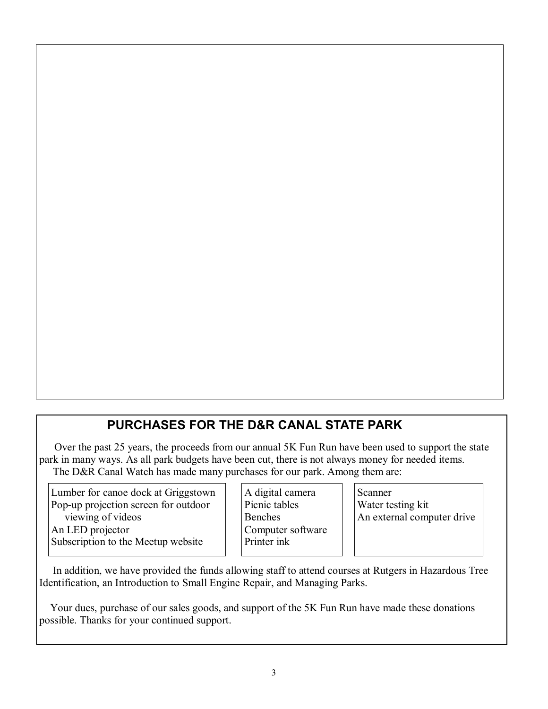# **PURCHASES FOR THE D&R CANAL STATE PARK**

 Over the past 25 years, the proceeds from our annual 5K Fun Run have been used to support the state park in many ways. As all park budgets have been cut, there is not always money for needed items. The D&R Canal Watch has made many purchases for our park. Among them are:

Lumber for canoe dock at Griggstown Pop-up projection screen for outdoor viewing of videos An LED projector Subscription to the Meetup website

A digital camera Picnic tables Benches Computer software Printer ink

Scanner Water testing kit An external computer drive

 In addition, we have provided the funds allowing staff to attend courses at Rutgers in Hazardous Tree Identification, an Introduction to Small Engine Repair, and Managing Parks.

 Your dues, purchase of our sales goods, and support of the 5K Fun Run have made these donations possible. Thanks for your continued support.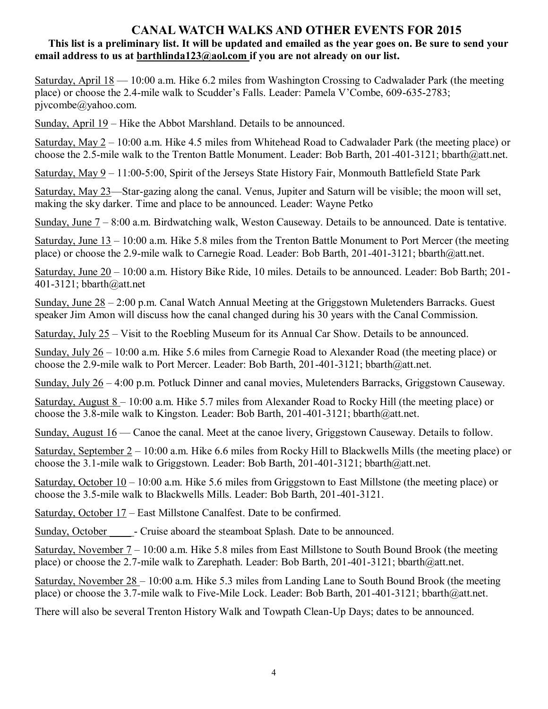### **CANAL WATCH WALKS AND OTHER EVENTS FOR 2015**

### **This list is a preliminary list. It will be updated and emailed as the year goes on. Be sure to send your email address to us at barthlinda123@aol.com if you are not already on our list.**

Saturday, April 18 — 10:00 a.m. Hike 6.2 miles from Washington Crossing to Cadwalader Park (the meeting place) or choose the 2.4-mile walk to Scudder's Falls. Leader: Pamela V'Combe, 609-635-2783; pjvcombe@yahoo.com.

Sunday, April 19 – Hike the Abbot Marshland. Details to be announced.

Saturday, May  $2 - 10:00$  a.m. Hike 4.5 miles from Whitehead Road to Cadwalader Park (the meeting place) or choose the 2.5-mile walk to the Trenton Battle Monument. Leader: Bob Barth, 201-401-3121; bbarth@att.net.

Saturday, May 9 – 11:00-5:00, Spirit of the Jerseys State History Fair, Monmouth Battlefield State Park

Saturday, May 23—Star-gazing along the canal. Venus, Jupiter and Saturn will be visible; the moon will set, making the sky darker. Time and place to be announced. Leader: Wayne Petko

Sunday, June 7 – 8:00 a.m. Birdwatching walk, Weston Causeway. Details to be announced. Date is tentative.

Saturday, June 13 – 10:00 a.m. Hike 5.8 miles from the Trenton Battle Monument to Port Mercer (the meeting place) or choose the 2.9-mile walk to Carnegie Road. Leader: Bob Barth, 201-401-3121; bbarth@att.net.

Saturday, June 20 – 10:00 a.m. History Bike Ride, 10 miles. Details to be announced. Leader: Bob Barth; 201- 401-3121; bbarth@att.net

Sunday, June 28 – 2:00 p.m. Canal Watch Annual Meeting at the Griggstown Muletenders Barracks. Guest speaker Jim Amon will discuss how the canal changed during his 30 years with the Canal Commission.

Saturday, July 25 – Visit to the Roebling Museum for its Annual Car Show. Details to be announced.

Sunday, July 26 – 10:00 a.m. Hike 5.6 miles from Carnegie Road to Alexander Road (the meeting place) or choose the 2.9-mile walk to Port Mercer. Leader: Bob Barth, 201-401-3121; bbarth@att.net.

Sunday, July 26 – 4:00 p.m. Potluck Dinner and canal movies, Muletenders Barracks, Griggstown Causeway.

Saturday, August 8 – 10:00 a.m. Hike 5.7 miles from Alexander Road to Rocky Hill (the meeting place) or choose the 3.8-mile walk to Kingston. Leader: Bob Barth, 201-401-3121; bbarth@att.net.

Sunday, August 16 — Canoe the canal. Meet at the canoe livery, Griggstown Causeway. Details to follow.

Saturday, September 2 – 10:00 a.m. Hike 6.6 miles from Rocky Hill to Blackwells Mills (the meeting place) or choose the 3.1-mile walk to Griggstown. Leader: Bob Barth, 201-401-3121; bbarth@att.net.

Saturday, October  $10 - 10:00$  a.m. Hike 5.6 miles from Griggstown to East Millstone (the meeting place) or choose the 3.5-mile walk to Blackwells Mills. Leader: Bob Barth, 201-401-3121.

Saturday, October 17 – East Millstone Canalfest. Date to be confirmed.

Sunday, October \_\_\_\_\_\_\_- Cruise aboard the steamboat Splash. Date to be announced.

Saturday, November 7 – 10:00 a.m. Hike 5.8 miles from East Millstone to South Bound Brook (the meeting place) or choose the 2.7-mile walk to Zarephath. Leader: Bob Barth, 201-401-3121; bbarth@att.net.

Saturday, November 28 – 10:00 a.m. Hike 5.3 miles from Landing Lane to South Bound Brook (the meeting place) or choose the 3.7-mile walk to Five-Mile Lock. Leader: Bob Barth, 201-401-3121; bbarth@att.net.

There will also be several Trenton History Walk and Towpath Clean-Up Days; dates to be announced.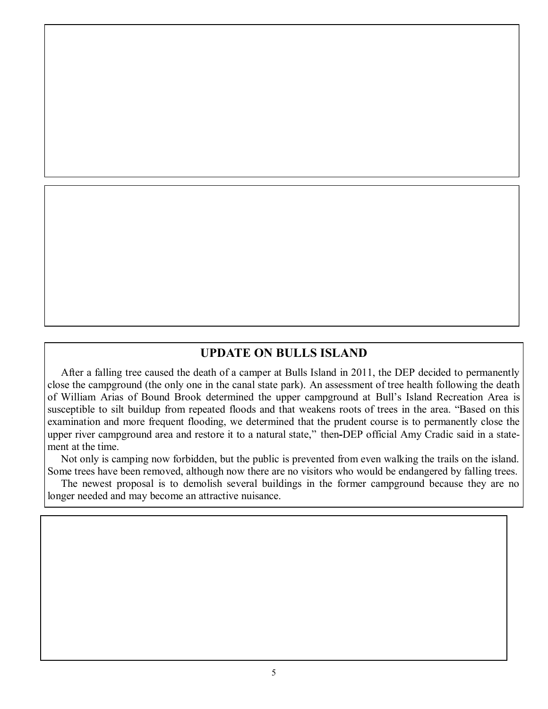### **UPDATE ON BULLS ISLAND**

 After a falling tree caused the death of a camper at Bulls Island in 2011, the DEP decided to permanently close the campground (the only one in the canal state park). An assessment of tree health following the death of William Arias of Bound Brook determined the upper campground at [Bull's Island Recreation Area](http://topics.lehighvalleylive.com/tag/bull%27s%20island%20recreation%20area/index.html) is susceptible to silt buildup from repeated floods and that weakens roots of trees in the area. "Based on this examination and more frequent flooding, we determined that the prudent course is to permanently close the upper river campground area and restore it to a natural state," then**-**DEP official Amy Cradic said in a statement at the time.

 Not only is camping now forbidden, but the public is prevented from even walking the trails on the island. Some trees have been removed, although now there are no visitors who would be endangered by falling trees.

 The newest proposal is to demolish several buildings in the former campground because they are no longer needed and may become an attractive nuisance.